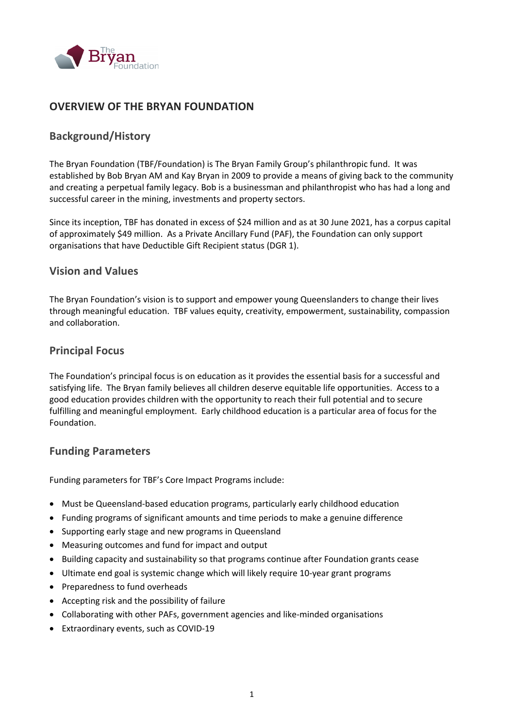

# **OVERVIEW OF THE BRYAN FOUNDATION**

# **Background/History**

The Bryan Foundation (TBF/Foundation) is The Bryan Family Group's philanthropic fund. It was established by Bob Bryan AM and Kay Bryan in 2009 to provide a means of giving back to the community and creating a perpetual family legacy. Bob is a businessman and philanthropist who has had a long and successful career in the mining, investments and property sectors.

Since its inception, TBF has donated in excess of \$24 million and as at 30 June 2021, has a corpus capital of approximately \$49 million. As a Private Ancillary Fund (PAF), the Foundation can only support organisations that have Deductible Gift Recipient status (DGR 1).

## **Vision and Values**

The Bryan Foundation's vision is to support and empower young Queenslanders to change their lives through meaningful education. TBF values equity, creativity, empowerment, sustainability, compassion and collaboration.

## **Principal Focus**

The Foundation's principal focus is on education as it provides the essential basis for a successful and satisfying life. The Bryan family believes all children deserve equitable life opportunities. Access to a good education provides children with the opportunity to reach their full potential and to secure fulfilling and meaningful employment. Early childhood education is a particular area of focus for the Foundation.

## **Funding Parameters**

Funding parameters for TBF's Core Impact Programs include:

- Must be Queensland-based education programs, particularly early childhood education
- Funding programs of significant amounts and time periods to make a genuine difference
- Supporting early stage and new programs in Queensland
- Measuring outcomes and fund for impact and output
- Building capacity and sustainability so that programs continue after Foundation grants cease
- Ultimate end goal is systemic change which will likely require 10-year grant programs
- Preparedness to fund overheads
- Accepting risk and the possibility of failure
- Collaborating with other PAFs, government agencies and like-minded organisations
- Extraordinary events, such as COVID-19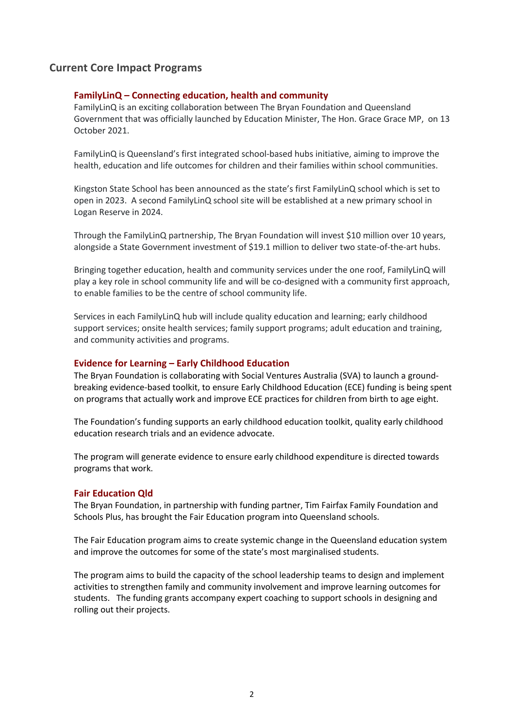## **Current Core Impact Programs**

### **FamilyLinQ – Connecting education, health and community**

FamilyLinQ is an exciting collaboration between The Bryan Foundation and Queensland Government that was officially launched by Education Minister, The Hon. Grace Grace MP, on 13 October 2021.

FamilyLinQ is Queensland's first integrated school-based hubs initiative, aiming to improve the health, education and life outcomes for children and their families within school communities.

Kingston State School has been announced as the state's first FamilyLinQ school which is set to open in 2023. A second FamilyLinQ school site will be established at a new primary school in Logan Reserve in 2024.

Through the FamilyLinQ partnership, The Bryan Foundation will invest \$10 million over 10 years, alongside a State Government investment of \$19.1 million to deliver two state-of-the-art hubs.

Bringing together education, health and community services under the one roof, FamilyLinQ will play a key role in school community life and will be co-designed with a community first approach, to enable families to be the centre of school community life.

Services in each FamilyLinQ hub will include quality education and learning; early childhood support services; onsite health services; family support programs; adult education and training, and community activities and programs.

#### **Evidence for Learning – Early Childhood Education**

The Bryan Foundation is collaborating with Social Ventures Australia (SVA) to launch a groundbreaking evidence-based toolkit, to ensure Early Childhood Education (ECE) funding is being spent on programs that actually work and improve ECE practices for children from birth to age eight.

The Foundation's funding supports an early childhood education toolkit, quality early childhood education research trials and an evidence advocate.

The program will generate evidence to ensure early childhood expenditure is directed towards programs that work.

#### **Fair Education Qld**

The Bryan Foundation, in partnership with funding partner, Tim Fairfax Family Foundation and Schools Plus, has brought the Fair Education program into Queensland schools.

The Fair Education program aims to create systemic change in the Queensland education system and improve the outcomes for some of the state's most marginalised students.

The program aims to build the capacity of the school leadership teams to design and implement activities to strengthen family and community involvement and improve learning outcomes for students. The funding grants accompany expert coaching to support schools in designing and rolling out their projects.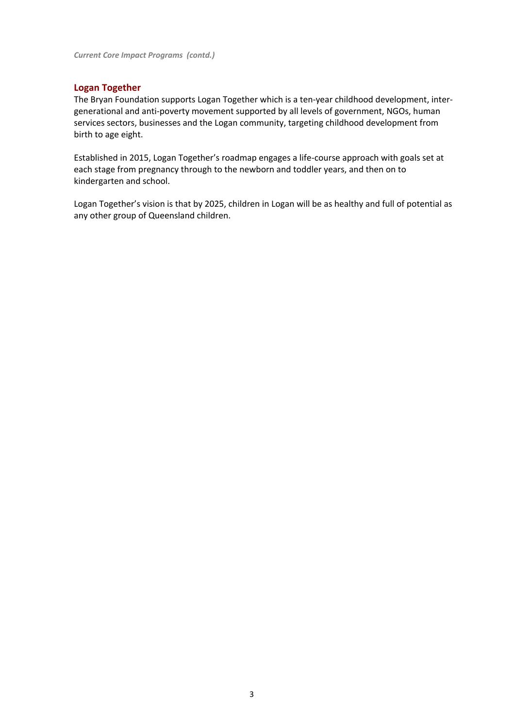### **Logan Together**

The Bryan Foundation supports Logan Together which is a ten-year childhood development, intergenerational and anti-poverty movement supported by all levels of government, NGOs, human services sectors, businesses and the Logan community, targeting childhood development from birth to age eight.

Established in 2015, Logan Together's roadmap engages a life-course approach with goals set at each stage from pregnancy through to the newborn and toddler years, and then on to kindergarten and school.

Logan Together's vision is that by 2025, children in Logan will be as healthy and full of potential as any other group of Queensland children.